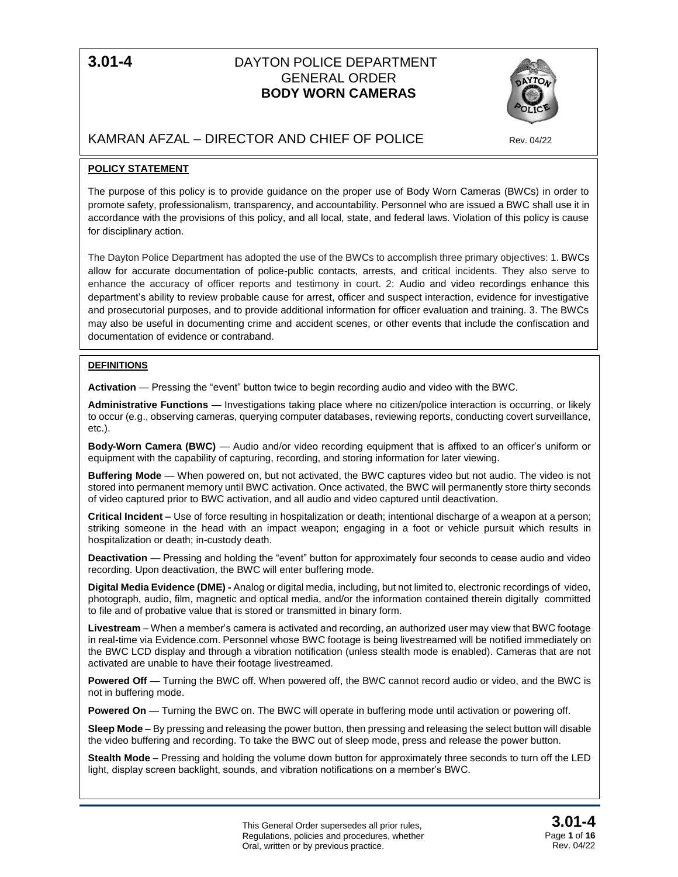# **3.01-4** DAYTON POLICE DEPARTMENT GENERAL ORDER **BODY WORN CAMERAS**



# KAMRAN AFZAL – DIRECTOR AND CHIEF OF POLICE Rev. 04/22

# **POLICY STATEMENT**

The purpose of this policy is to provide guidance on the proper use of Body Worn Cameras (BWCs) in order to promote safety, professionalism, transparency, and accountability. Personnel who are issued a BWC shall use it in accordance with the provisions of this policy, and all local, state, and federal laws. Violation of this policy is cause for disciplinary action.

The Dayton Police Department has adopted the use of the BWCs to accomplish three primary objectives: 1. BWCs allow for accurate documentation of police-public contacts, arrests, and critical incidents. They also serve to enhance the accuracy of officer reports and testimony in court. 2: Audio and video recordings enhance this department's ability to review probable cause for arrest, officer and suspect interaction, evidence for investigative and prosecutorial purposes, and to provide additional information for officer evaluation and training. 3. The BWCs may also be useful in documenting crime and accident scenes, or other events that include the confiscation and documentation of evidence or contraband.

## **DEFINITIONS**

**Activation** — Pressing the "event" button twice to begin recording audio and video with the BWC.

**Administrative Functions** — Investigations taking place where no citizen/police interaction is occurring, or likely to occur (e.g., observing cameras, querying computer databases, reviewing reports, conducting covert surveillance, etc.).

**Body-Worn Camera (BWC)** — Audio and/or video recording equipment that is affixed to an officer's uniform or equipment with the capability of capturing, recording, and storing information for later viewing.

**Buffering Mode** — When powered on, but not activated, the BWC captures video but not audio. The video is not stored into permanent memory until BWC activation. Once activated, the BWC will permanently store thirty seconds of video captured prior to BWC activation, and all audio and video captured until deactivation.

**Critical Incident –** Use of force resulting in hospitalization or death; intentional discharge of a weapon at a person; striking someone in the head with an impact weapon; engaging in a foot or vehicle pursuit which results in hospitalization or death; in-custody death.

**Deactivation** — Pressing and holding the "event" button for approximately four seconds to cease audio and video recording. Upon deactivation, the BWC will enter buffering mode.

**Digital Media Evidence (DME) -** Analog or digital media, including, but not limited to, electronic recordings of video, photograph, audio, film, magnetic and optical media, and/or the information contained therein digitally committed to file and of probative value that is stored or transmitted in binary form.

**Livestream** – When a member's camera is activated and recording, an authorized user may view that BWC footage in real-time via Evidence.com. Personnel whose BWC footage is being livestreamed will be notified immediately on the BWC LCD display and through a vibration notification (unless stealth mode is enabled). Cameras that are not activated are unable to have their footage livestreamed.

**Powered Off** — Turning the BWC off. When powered off, the BWC cannot record audio or video, and the BWC is not in buffering mode.

**Powered On** — Turning the BWC on. The BWC will operate in buffering mode until activation or powering off.

**Sleep Mode** – By pressing and releasing the power button, then pressing and releasing the select button will disable the video buffering and recording. To take the BWC out of sleep mode, press and release the power button.

**Stealth Mode** – Pressing and holding the volume down button for approximately three seconds to turn off the LED light, display screen backlight, sounds, and vibration notifications on a member's BWC.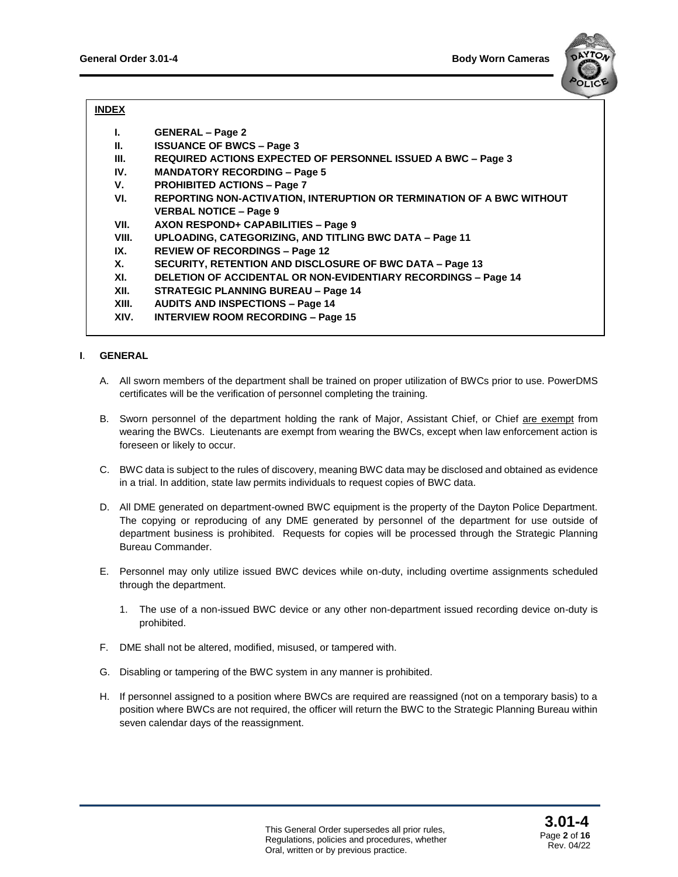

# **INDEX**

| <b>GENERAL - Page 2</b> |  |
|-------------------------|--|
|-------------------------|--|

- **II. ISSUANCE OF BWCS – Page 3**
- **III. REQUIRED ACTIONS EXPECTED OF PERSONNEL ISSUED A BWC – Page 3**
- **IV. MANDATORY RECORDING – Page 5**
- **V. PROHIBITED ACTIONS – Page 7**
- **VI. REPORTING NON-ACTIVATION, INTERUPTION OR TERMINATION OF A BWC WITHOUT VERBAL NOTICE – Page 9**
- **VII. AXON RESPOND+ CAPABILITIES – Page 9**
- **VIII. UPLOADING, CATEGORIZING, AND TITLING BWC DATA – Page 11**
- **IX. REVIEW OF RECORDINGS – Page 12**
- **X. SECURITY, RETENTION AND DISCLOSURE OF BWC DATA – Page 13**
- **XI. DELETION OF ACCIDENTAL OR NON-EVIDENTIARY RECORDINGS – Page 14**
- **XII. STRATEGIC PLANNING BUREAU – Page 14**
- **XIII. AUDITS AND INSPECTIONS – Page 14**
- **XIV. INTERVIEW ROOM RECORDING – Page 15**

## **I**. **GENERAL**

- A. All sworn members of the department shall be trained on proper utilization of BWCs prior to use. PowerDMS certificates will be the verification of personnel completing the training.
- B. Sworn personnel of the department holding the rank of Major, Assistant Chief, or Chief are exempt from wearing the BWCs. Lieutenants are exempt from wearing the BWCs, except when law enforcement action is foreseen or likely to occur.
- C. BWC data is subject to the rules of discovery, meaning BWC data may be disclosed and obtained as evidence in a trial. In addition, state law permits individuals to request copies of BWC data.
- D. All DME generated on department-owned BWC equipment is the property of the Dayton Police Department. The copying or reproducing of any DME generated by personnel of the department for use outside of department business is prohibited. Requests for copies will be processed through the Strategic Planning Bureau Commander.
- E. Personnel may only utilize issued BWC devices while on-duty, including overtime assignments scheduled through the department.
	- 1. The use of a non-issued BWC device or any other non-department issued recording device on-duty is prohibited.
- F. DME shall not be altered, modified, misused, or tampered with.
- G. Disabling or tampering of the BWC system in any manner is prohibited.
- H. If personnel assigned to a position where BWCs are required are reassigned (not on a temporary basis) to a position where BWCs are not required, the officer will return the BWC to the Strategic Planning Bureau within seven calendar days of the reassignment.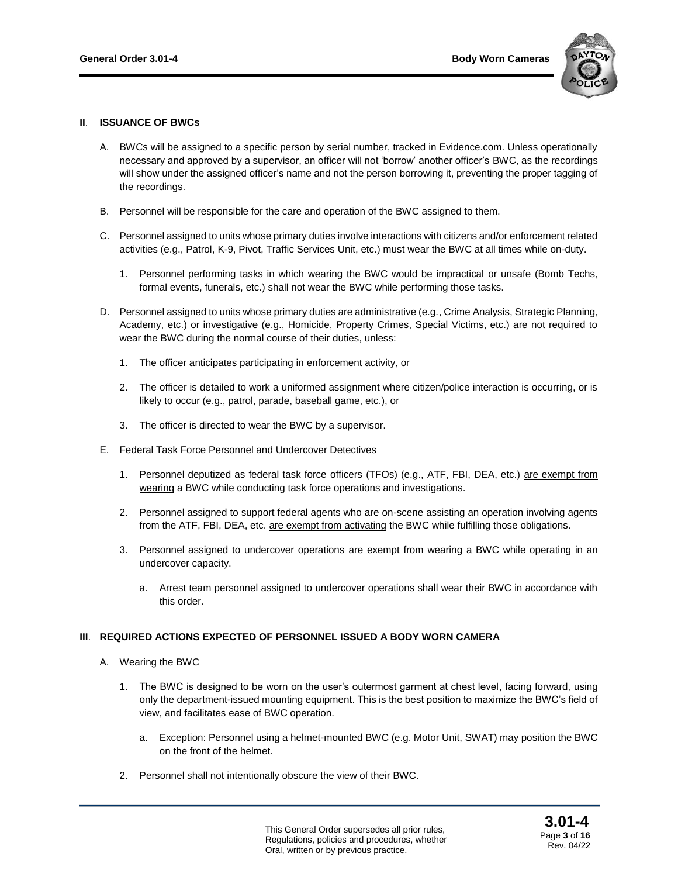

#### **II**. **ISSUANCE OF BWCs**

- A. BWCs will be assigned to a specific person by serial number, tracked in Evidence.com. Unless operationally necessary and approved by a supervisor, an officer will not 'borrow' another officer's BWC, as the recordings will show under the assigned officer's name and not the person borrowing it, preventing the proper tagging of the recordings.
- B. Personnel will be responsible for the care and operation of the BWC assigned to them.
- C. Personnel assigned to units whose primary duties involve interactions with citizens and/or enforcement related activities (e.g., Patrol, K-9, Pivot, Traffic Services Unit, etc.) must wear the BWC at all times while on-duty.
	- 1. Personnel performing tasks in which wearing the BWC would be impractical or unsafe (Bomb Techs, formal events, funerals, etc.) shall not wear the BWC while performing those tasks.
- D. Personnel assigned to units whose primary duties are administrative (e.g., Crime Analysis, Strategic Planning, Academy, etc.) or investigative (e.g., Homicide, Property Crimes, Special Victims, etc.) are not required to wear the BWC during the normal course of their duties, unless:
	- 1. The officer anticipates participating in enforcement activity, or
	- 2. The officer is detailed to work a uniformed assignment where citizen/police interaction is occurring, or is likely to occur (e.g., patrol, parade, baseball game, etc.), or
	- 3. The officer is directed to wear the BWC by a supervisor.
- E. Federal Task Force Personnel and Undercover Detectives
	- 1. Personnel deputized as federal task force officers (TFOs) (e.g., ATF, FBI, DEA, etc.) are exempt from wearing a BWC while conducting task force operations and investigations.
	- 2. Personnel assigned to support federal agents who are on-scene assisting an operation involving agents from the ATF, FBI, DEA, etc. are exempt from activating the BWC while fulfilling those obligations.
	- 3. Personnel assigned to undercover operations are exempt from wearing a BWC while operating in an undercover capacity.
		- a. Arrest team personnel assigned to undercover operations shall wear their BWC in accordance with this order.

#### **III**. **REQUIRED ACTIONS EXPECTED OF PERSONNEL ISSUED A BODY WORN CAMERA**

- A. Wearing the BWC
	- 1. The BWC is designed to be worn on the user's outermost garment at chest level, facing forward, using only the department-issued mounting equipment. This is the best position to maximize the BWC's field of view, and facilitates ease of BWC operation.
		- a. Exception: Personnel using a helmet-mounted BWC (e.g. Motor Unit, SWAT) may position the BWC on the front of the helmet.
	- 2. Personnel shall not intentionally obscure the view of their BWC.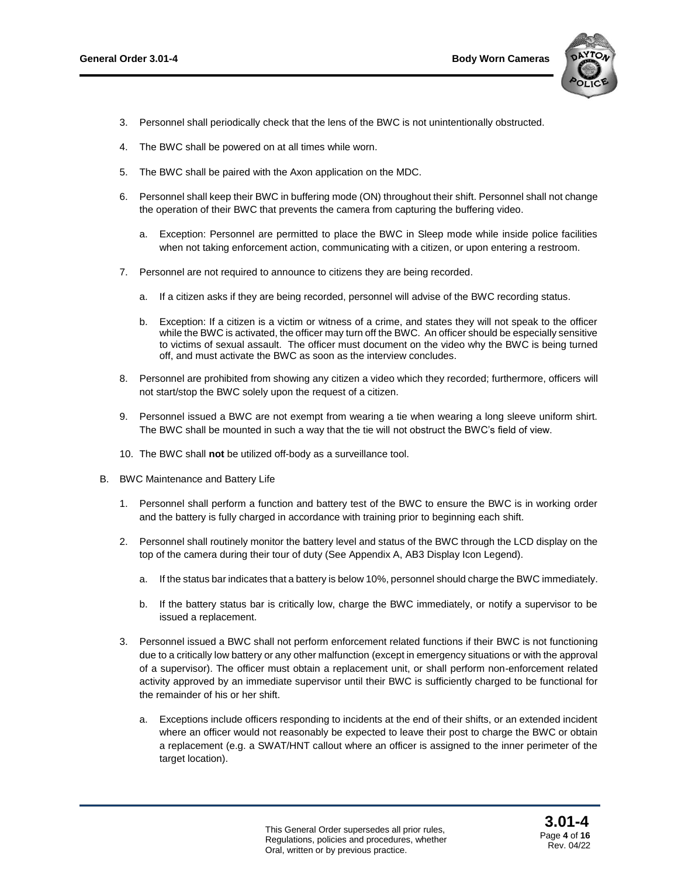

- 3. Personnel shall periodically check that the lens of the BWC is not unintentionally obstructed.
- 4. The BWC shall be powered on at all times while worn.
- 5. The BWC shall be paired with the Axon application on the MDC.
- 6. Personnel shall keep their BWC in buffering mode (ON) throughout their shift. Personnel shall not change the operation of their BWC that prevents the camera from capturing the buffering video.
	- a. Exception: Personnel are permitted to place the BWC in Sleep mode while inside police facilities when not taking enforcement action, communicating with a citizen, or upon entering a restroom.
- 7. Personnel are not required to announce to citizens they are being recorded.
	- a. If a citizen asks if they are being recorded, personnel will advise of the BWC recording status.
	- b. Exception: If a citizen is a victim or witness of a crime, and states they will not speak to the officer while the BWC is activated, the officer may turn off the BWC. An officer should be especially sensitive to victims of sexual assault. The officer must document on the video why the BWC is being turned off, and must activate the BWC as soon as the interview concludes.
- 8. Personnel are prohibited from showing any citizen a video which they recorded; furthermore, officers will not start/stop the BWC solely upon the request of a citizen.
- 9. Personnel issued a BWC are not exempt from wearing a tie when wearing a long sleeve uniform shirt. The BWC shall be mounted in such a way that the tie will not obstruct the BWC's field of view.
- 10. The BWC shall **not** be utilized off-body as a surveillance tool.
- B. BWC Maintenance and Battery Life
	- 1. Personnel shall perform a function and battery test of the BWC to ensure the BWC is in working order and the battery is fully charged in accordance with training prior to beginning each shift.
	- 2. Personnel shall routinely monitor the battery level and status of the BWC through the LCD display on the top of the camera during their tour of duty (See Appendix A, AB3 Display Icon Legend).
		- a. If the status bar indicates that a battery is below 10%, personnel should charge the BWC immediately.
		- b. If the battery status bar is critically low, charge the BWC immediately, or notify a supervisor to be issued a replacement.
	- 3. Personnel issued a BWC shall not perform enforcement related functions if their BWC is not functioning due to a critically low battery or any other malfunction (except in emergency situations or with the approval of a supervisor). The officer must obtain a replacement unit, or shall perform non-enforcement related activity approved by an immediate supervisor until their BWC is sufficiently charged to be functional for the remainder of his or her shift.
		- a. Exceptions include officers responding to incidents at the end of their shifts, or an extended incident where an officer would not reasonably be expected to leave their post to charge the BWC or obtain a replacement (e.g. a SWAT/HNT callout where an officer is assigned to the inner perimeter of the target location).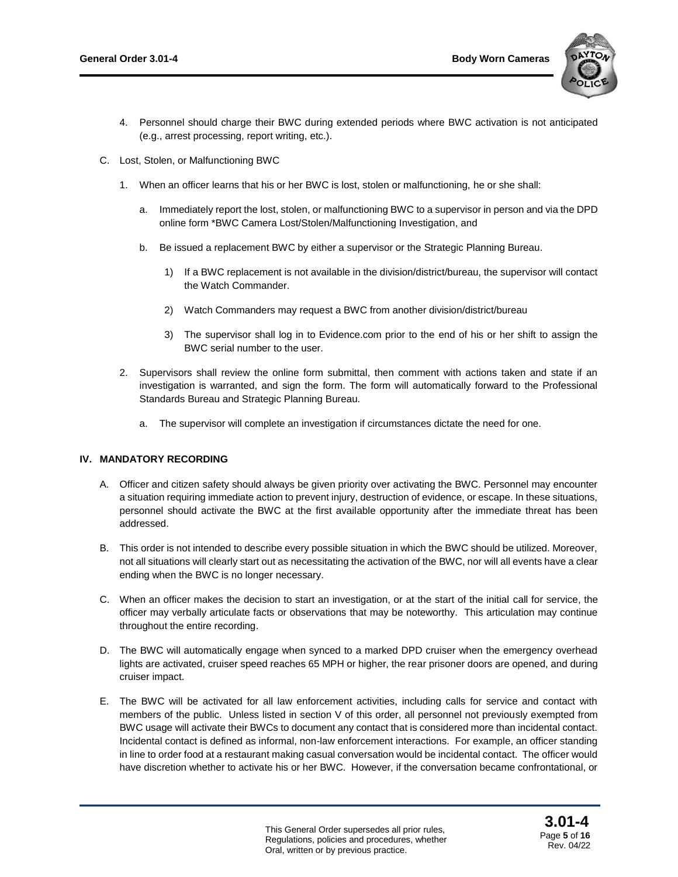

- 4. Personnel should charge their BWC during extended periods where BWC activation is not anticipated (e.g., arrest processing, report writing, etc.).
- C. Lost, Stolen, or Malfunctioning BWC
	- 1. When an officer learns that his or her BWC is lost, stolen or malfunctioning, he or she shall:
		- a. Immediately report the lost, stolen, or malfunctioning BWC to a supervisor in person and via the DPD online form \*BWC Camera Lost/Stolen/Malfunctioning Investigation, and
		- b. Be issued a replacement BWC by either a supervisor or the Strategic Planning Bureau.
			- 1) If a BWC replacement is not available in the division/district/bureau, the supervisor will contact the Watch Commander.
			- 2) Watch Commanders may request a BWC from another division/district/bureau
			- 3) The supervisor shall log in to Evidence.com prior to the end of his or her shift to assign the BWC serial number to the user.
	- 2. Supervisors shall review the online form submittal, then comment with actions taken and state if an investigation is warranted, and sign the form. The form will automatically forward to the Professional Standards Bureau and Strategic Planning Bureau.
		- a. The supervisor will complete an investigation if circumstances dictate the need for one.

## **IV. MANDATORY RECORDING**

- A. Officer and citizen safety should always be given priority over activating the BWC. Personnel may encounter a situation requiring immediate action to prevent injury, destruction of evidence, or escape. In these situations, personnel should activate the BWC at the first available opportunity after the immediate threat has been addressed.
- B. This order is not intended to describe every possible situation in which the BWC should be utilized. Moreover, not all situations will clearly start out as necessitating the activation of the BWC, nor will all events have a clear ending when the BWC is no longer necessary.
- C. When an officer makes the decision to start an investigation, or at the start of the initial call for service, the officer may verbally articulate facts or observations that may be noteworthy. This articulation may continue throughout the entire recording.
- D. The BWC will automatically engage when synced to a marked DPD cruiser when the emergency overhead lights are activated, cruiser speed reaches 65 MPH or higher, the rear prisoner doors are opened, and during cruiser impact.
- E. The BWC will be activated for all law enforcement activities, including calls for service and contact with members of the public. Unless listed in section V of this order, all personnel not previously exempted from BWC usage will activate their BWCs to document any contact that is considered more than incidental contact. Incidental contact is defined as informal, non-law enforcement interactions. For example, an officer standing in line to order food at a restaurant making casual conversation would be incidental contact. The officer would have discretion whether to activate his or her BWC. However, if the conversation became confrontational, or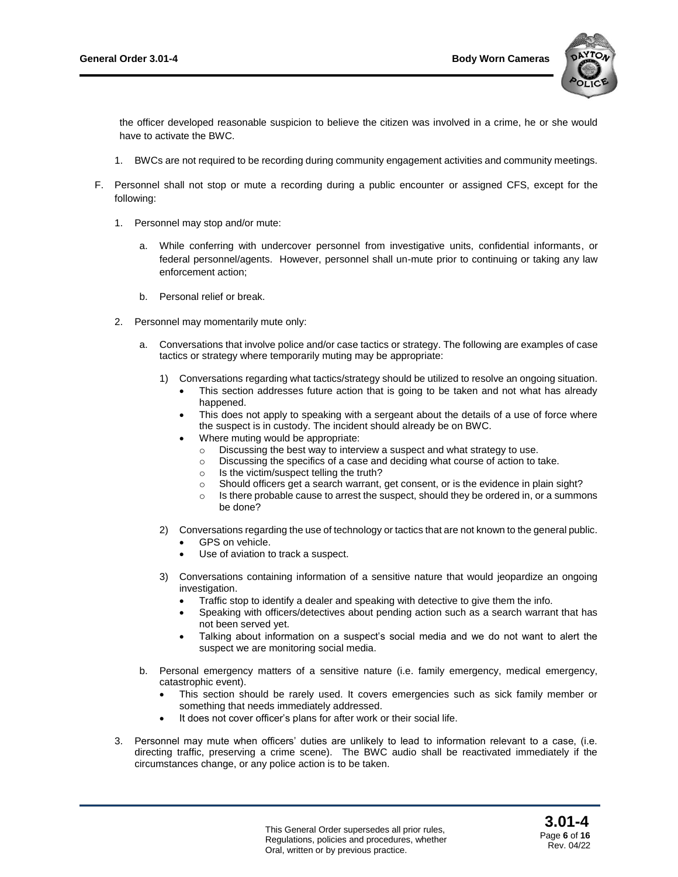

the officer developed reasonable suspicion to believe the citizen was involved in a crime, he or she would have to activate the BWC.

- 1. BWCs are not required to be recording during community engagement activities and community meetings.
- F. Personnel shall not stop or mute a recording during a public encounter or assigned CFS, except for the following:
	- 1. Personnel may stop and/or mute:
		- a. While conferring with undercover personnel from investigative units, confidential informants, or federal personnel/agents. However, personnel shall un-mute prior to continuing or taking any law enforcement action;
		- b. Personal relief or break.
	- 2. Personnel may momentarily mute only:
		- a. Conversations that involve police and/or case tactics or strategy. The following are examples of case tactics or strategy where temporarily muting may be appropriate:
			- 1) Conversations regarding what tactics/strategy should be utilized to resolve an ongoing situation.
				- This section addresses future action that is going to be taken and not what has already happened.
				- This does not apply to speaking with a sergeant about the details of a use of force where the suspect is in custody. The incident should already be on BWC.
				- Where muting would be appropriate:
					- o Discussing the best way to interview a suspect and what strategy to use.
					- o Discussing the specifics of a case and deciding what course of action to take.
					- o Is the victim/suspect telling the truth?
					- o Should officers get a search warrant, get consent, or is the evidence in plain sight?
					- $\circ$  Is there probable cause to arrest the suspect, should they be ordered in, or a summons be done?
			- 2) Conversations regarding the use of technology or tactics that are not known to the general public.
				- GPS on vehicle.
				- Use of aviation to track a suspect.
			- 3) Conversations containing information of a sensitive nature that would jeopardize an ongoing investigation.
				- Traffic stop to identify a dealer and speaking with detective to give them the info.
				- Speaking with officers/detectives about pending action such as a search warrant that has not been served yet.
				- Talking about information on a suspect's social media and we do not want to alert the suspect we are monitoring social media.
		- b. Personal emergency matters of a sensitive nature (i.e. family emergency, medical emergency, catastrophic event).
			- This section should be rarely used. It covers emergencies such as sick family member or something that needs immediately addressed.
			- It does not cover officer's plans for after work or their social life.
	- 3. Personnel may mute when officers' duties are unlikely to lead to information relevant to a case, (i.e. directing traffic, preserving a crime scene). The BWC audio shall be reactivated immediately if the circumstances change, or any police action is to be taken.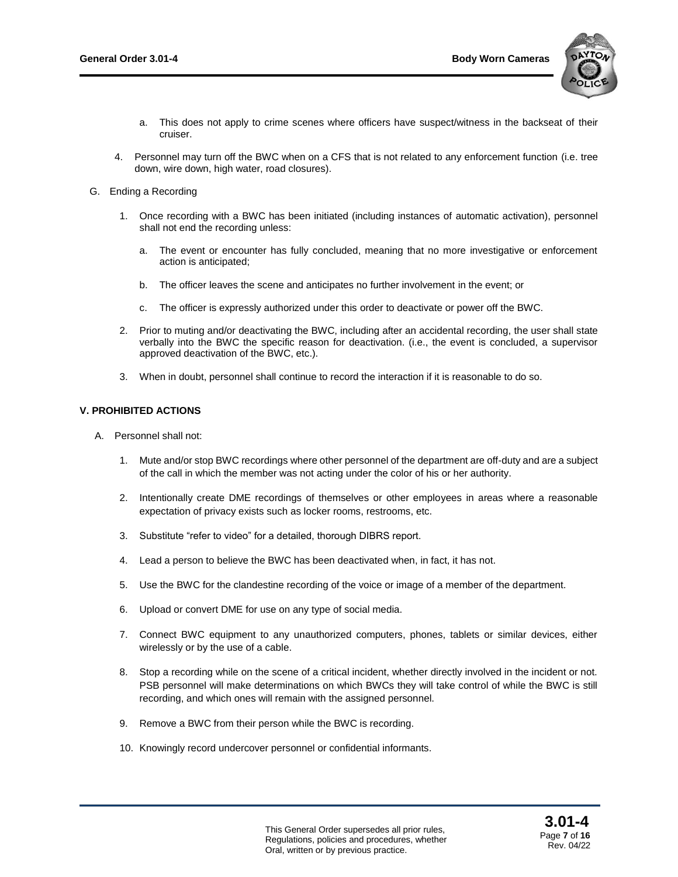

- a. This does not apply to crime scenes where officers have suspect/witness in the backseat of their cruiser.
- 4. Personnel may turn off the BWC when on a CFS that is not related to any enforcement function (i.e. tree down, wire down, high water, road closures).
- G. Ending a Recording
	- 1. Once recording with a BWC has been initiated (including instances of automatic activation), personnel shall not end the recording unless:
		- a. The event or encounter has fully concluded, meaning that no more investigative or enforcement action is anticipated;
		- b. The officer leaves the scene and anticipates no further involvement in the event; or
		- c. The officer is expressly authorized under this order to deactivate or power off the BWC.
	- 2. Prior to muting and/or deactivating the BWC, including after an accidental recording, the user shall state verbally into the BWC the specific reason for deactivation. (i.e., the event is concluded, a supervisor approved deactivation of the BWC, etc.).
	- 3. When in doubt, personnel shall continue to record the interaction if it is reasonable to do so.

#### **V. PROHIBITED ACTIONS**

- A. Personnel shall not:
	- 1. Mute and/or stop BWC recordings where other personnel of the department are off-duty and are a subject of the call in which the member was not acting under the color of his or her authority.
	- 2. Intentionally create DME recordings of themselves or other employees in areas where a reasonable expectation of privacy exists such as locker rooms, restrooms, etc.
	- 3. Substitute "refer to video" for a detailed, thorough DIBRS report.
	- 4. Lead a person to believe the BWC has been deactivated when, in fact, it has not.
	- 5. Use the BWC for the clandestine recording of the voice or image of a member of the department.
	- 6. Upload or convert DME for use on any type of social media.
	- 7. Connect BWC equipment to any unauthorized computers, phones, tablets or similar devices, either wirelessly or by the use of a cable.
	- 8. Stop a recording while on the scene of a critical incident, whether directly involved in the incident or not. PSB personnel will make determinations on which BWCs they will take control of while the BWC is still recording, and which ones will remain with the assigned personnel.
	- 9. Remove a BWC from their person while the BWC is recording.
	- 10. Knowingly record undercover personnel or confidential informants.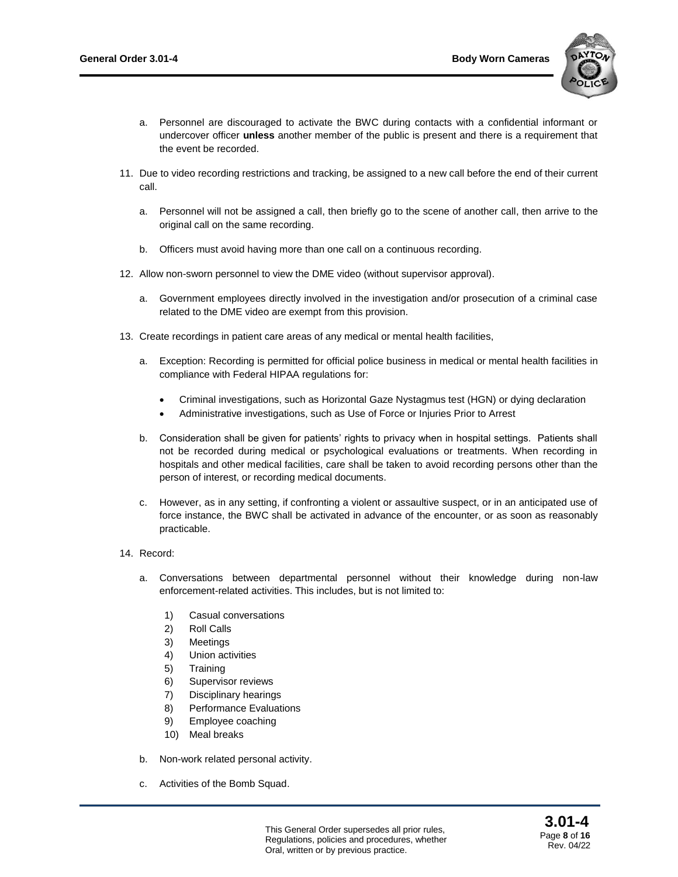

- a. Personnel are discouraged to activate the BWC during contacts with a confidential informant or undercover officer **unless** another member of the public is present and there is a requirement that the event be recorded.
- 11. Due to video recording restrictions and tracking, be assigned to a new call before the end of their current call.
	- a. Personnel will not be assigned a call, then briefly go to the scene of another call, then arrive to the original call on the same recording.
	- b. Officers must avoid having more than one call on a continuous recording.
- 12. Allow non-sworn personnel to view the DME video (without supervisor approval).
	- a. Government employees directly involved in the investigation and/or prosecution of a criminal case related to the DME video are exempt from this provision.
- 13. Create recordings in patient care areas of any medical or mental health facilities,
	- a. Exception: Recording is permitted for official police business in medical or mental health facilities in compliance with Federal HIPAA regulations for:
		- Criminal investigations, such as Horizontal Gaze Nystagmus test (HGN) or dying declaration
		- Administrative investigations, such as Use of Force or Injuries Prior to Arrest
	- b. Consideration shall be given for patients' rights to privacy when in hospital settings. Patients shall not be recorded during medical or psychological evaluations or treatments. When recording in hospitals and other medical facilities, care shall be taken to avoid recording persons other than the person of interest, or recording medical documents.
	- c. However, as in any setting, if confronting a violent or assaultive suspect, or in an anticipated use of force instance, the BWC shall be activated in advance of the encounter, or as soon as reasonably practicable.
- 14. Record:
	- a. Conversations between departmental personnel without their knowledge during non-law enforcement-related activities. This includes, but is not limited to:
		- 1) Casual conversations
		- 2) Roll Calls
		- 3) Meetings
		- 4) Union activities
		- 5) Training
		- 6) Supervisor reviews
		- 7) Disciplinary hearings
		- 8) Performance Evaluations
		- 9) Employee coaching
		- 10) Meal breaks
	- b. Non-work related personal activity.
	- c. Activities of the Bomb Squad.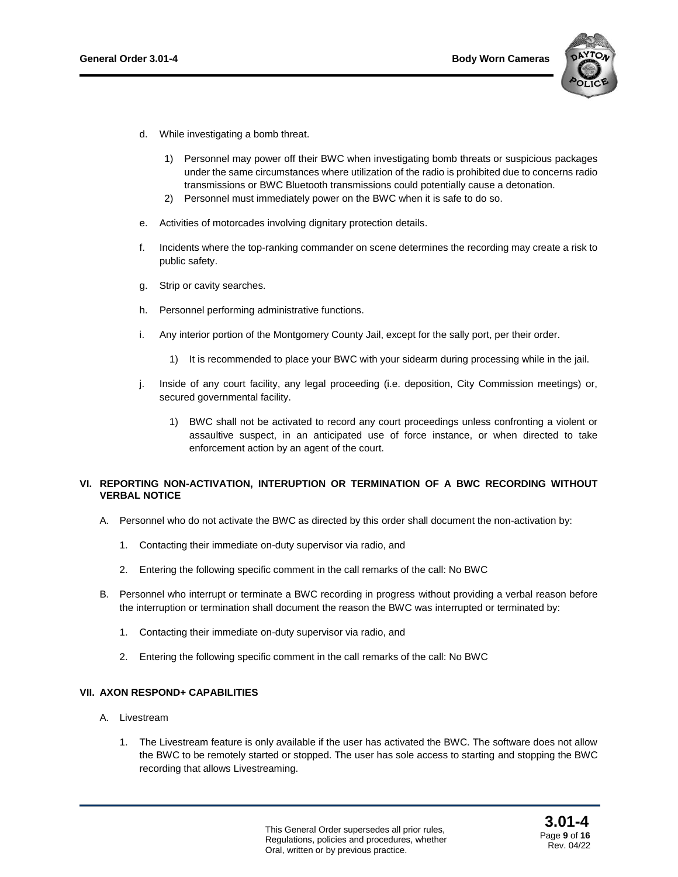

- d. While investigating a bomb threat.
	- 1) Personnel may power off their BWC when investigating bomb threats or suspicious packages under the same circumstances where utilization of the radio is prohibited due to concerns radio transmissions or BWC Bluetooth transmissions could potentially cause a detonation.
	- 2) Personnel must immediately power on the BWC when it is safe to do so.
- e. Activities of motorcades involving dignitary protection details.
- f. Incidents where the top-ranking commander on scene determines the recording may create a risk to public safety.
- g. Strip or cavity searches.
- h. Personnel performing administrative functions.
- i. Any interior portion of the Montgomery County Jail, except for the sally port, per their order.
	- 1) It is recommended to place your BWC with your sidearm during processing while in the jail.
- j. Inside of any court facility, any legal proceeding (i.e. deposition, City Commission meetings) or, secured governmental facility.
	- 1) BWC shall not be activated to record any court proceedings unless confronting a violent or assaultive suspect, in an anticipated use of force instance, or when directed to take enforcement action by an agent of the court.

## **VI. REPORTING NON-ACTIVATION, INTERUPTION OR TERMINATION OF A BWC RECORDING WITHOUT VERBAL NOTICE**

- A. Personnel who do not activate the BWC as directed by this order shall document the non-activation by:
	- 1. Contacting their immediate on-duty supervisor via radio, and
	- 2. Entering the following specific comment in the call remarks of the call: No BWC
- B. Personnel who interrupt or terminate a BWC recording in progress without providing a verbal reason before the interruption or termination shall document the reason the BWC was interrupted or terminated by:
	- 1. Contacting their immediate on-duty supervisor via radio, and
	- 2. Entering the following specific comment in the call remarks of the call: No BWC

#### **VII. AXON RESPOND+ CAPABILITIES**

- A. Livestream
	- 1. The Livestream feature is only available if the user has activated the BWC. The software does not allow the BWC to be remotely started or stopped. The user has sole access to starting and stopping the BWC recording that allows Livestreaming.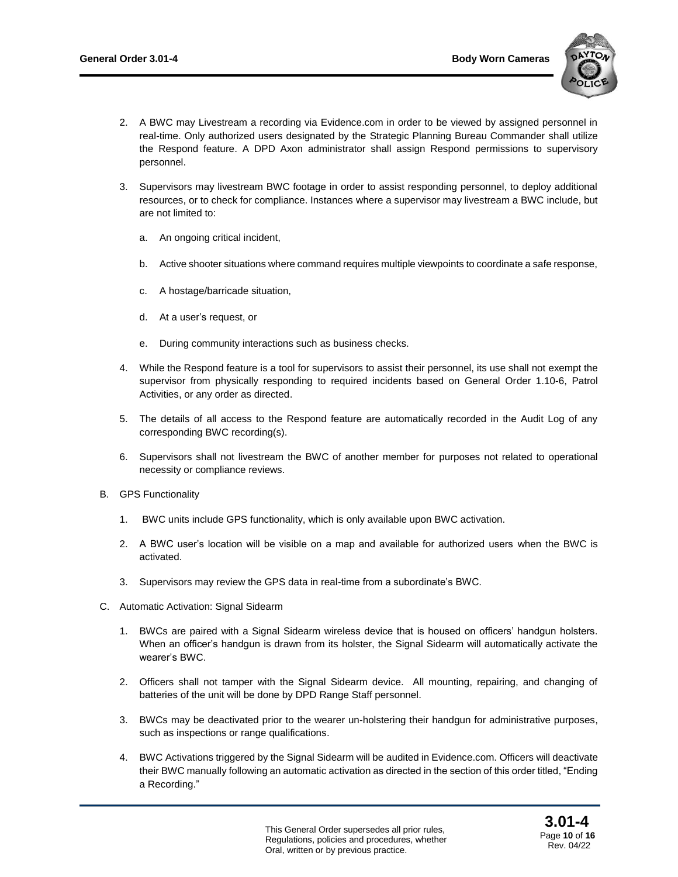

- 2. A BWC may Livestream a recording via Evidence.com in order to be viewed by assigned personnel in real-time. Only authorized users designated by the Strategic Planning Bureau Commander shall utilize the Respond feature. A DPD Axon administrator shall assign Respond permissions to supervisory personnel.
- 3. Supervisors may livestream BWC footage in order to assist responding personnel, to deploy additional resources, or to check for compliance. Instances where a supervisor may livestream a BWC include, but are not limited to:
	- a. An ongoing critical incident,
	- b. Active shooter situations where command requires multiple viewpoints to coordinate a safe response,
	- c. A hostage/barricade situation,
	- d. At a user's request, or
	- e. During community interactions such as business checks.
- 4. While the Respond feature is a tool for supervisors to assist their personnel, its use shall not exempt the supervisor from physically responding to required incidents based on General Order 1.10-6, Patrol Activities, or any order as directed.
- 5. The details of all access to the Respond feature are automatically recorded in the Audit Log of any corresponding BWC recording(s).
- 6. Supervisors shall not livestream the BWC of another member for purposes not related to operational necessity or compliance reviews.
- B. GPS Functionality
	- 1. BWC units include GPS functionality, which is only available upon BWC activation.
	- 2. A BWC user's location will be visible on a map and available for authorized users when the BWC is activated.
	- 3. Supervisors may review the GPS data in real-time from a subordinate's BWC.
- C. Automatic Activation: Signal Sidearm
	- 1. BWCs are paired with a Signal Sidearm wireless device that is housed on officers' handgun holsters. When an officer's handgun is drawn from its holster, the Signal Sidearm will automatically activate the wearer's BWC.
	- 2. Officers shall not tamper with the Signal Sidearm device. All mounting, repairing, and changing of batteries of the unit will be done by DPD Range Staff personnel.
	- 3. BWCs may be deactivated prior to the wearer un-holstering their handgun for administrative purposes, such as inspections or range qualifications.
	- 4. BWC Activations triggered by the Signal Sidearm will be audited in Evidence.com. Officers will deactivate their BWC manually following an automatic activation as directed in the section of this order titled, "Ending a Recording."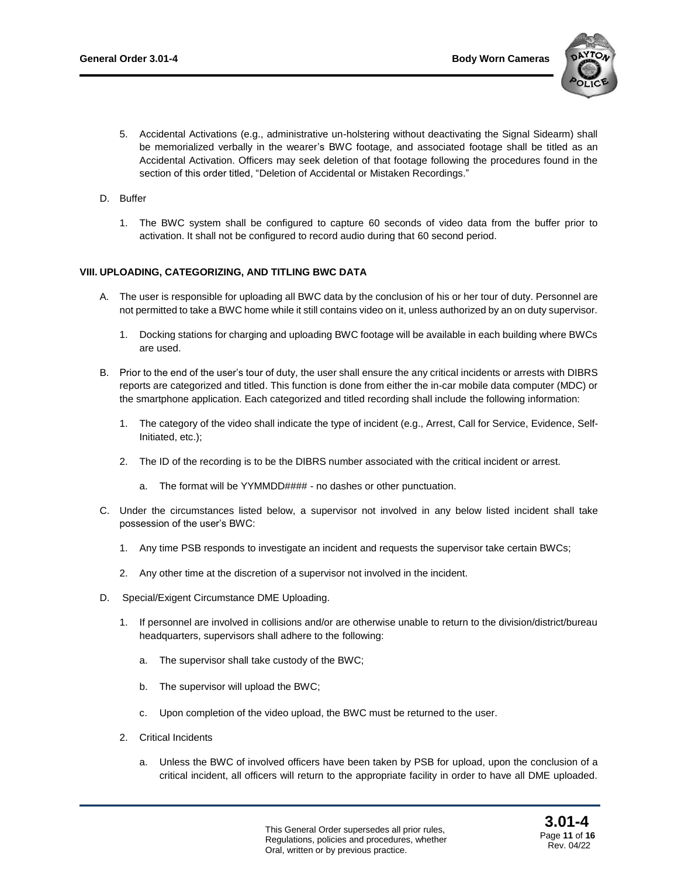

- 5. Accidental Activations (e.g., administrative un-holstering without deactivating the Signal Sidearm) shall be memorialized verbally in the wearer's BWC footage, and associated footage shall be titled as an Accidental Activation. Officers may seek deletion of that footage following the procedures found in the section of this order titled, "Deletion of Accidental or Mistaken Recordings."
- D. Buffer
	- 1. The BWC system shall be configured to capture 60 seconds of video data from the buffer prior to activation. It shall not be configured to record audio during that 60 second period.

## **VIII. UPLOADING, CATEGORIZING, AND TITLING BWC DATA**

- A. The user is responsible for uploading all BWC data by the conclusion of his or her tour of duty. Personnel are not permitted to take a BWC home while it still contains video on it, unless authorized by an on duty supervisor.
	- 1. Docking stations for charging and uploading BWC footage will be available in each building where BWCs are used.
- B. Prior to the end of the user's tour of duty, the user shall ensure the any critical incidents or arrests with DIBRS reports are categorized and titled. This function is done from either the in-car mobile data computer (MDC) or the smartphone application. Each categorized and titled recording shall include the following information:
	- 1. The category of the video shall indicate the type of incident (e.g., Arrest, Call for Service, Evidence, Self-Initiated, etc.);
	- 2. The ID of the recording is to be the DIBRS number associated with the critical incident or arrest.
		- a. The format will be YYMMDD#### no dashes or other punctuation.
- C. Under the circumstances listed below, a supervisor not involved in any below listed incident shall take possession of the user's BWC:
	- 1. Any time PSB responds to investigate an incident and requests the supervisor take certain BWCs;
	- 2. Any other time at the discretion of a supervisor not involved in the incident.
- D. Special/Exigent Circumstance DME Uploading.
	- 1. If personnel are involved in collisions and/or are otherwise unable to return to the division/district/bureau headquarters, supervisors shall adhere to the following:
		- a. The supervisor shall take custody of the BWC;
		- b. The supervisor will upload the BWC;
		- c. Upon completion of the video upload, the BWC must be returned to the user.
	- 2. Critical Incidents
		- a. Unless the BWC of involved officers have been taken by PSB for upload, upon the conclusion of a critical incident, all officers will return to the appropriate facility in order to have all DME uploaded.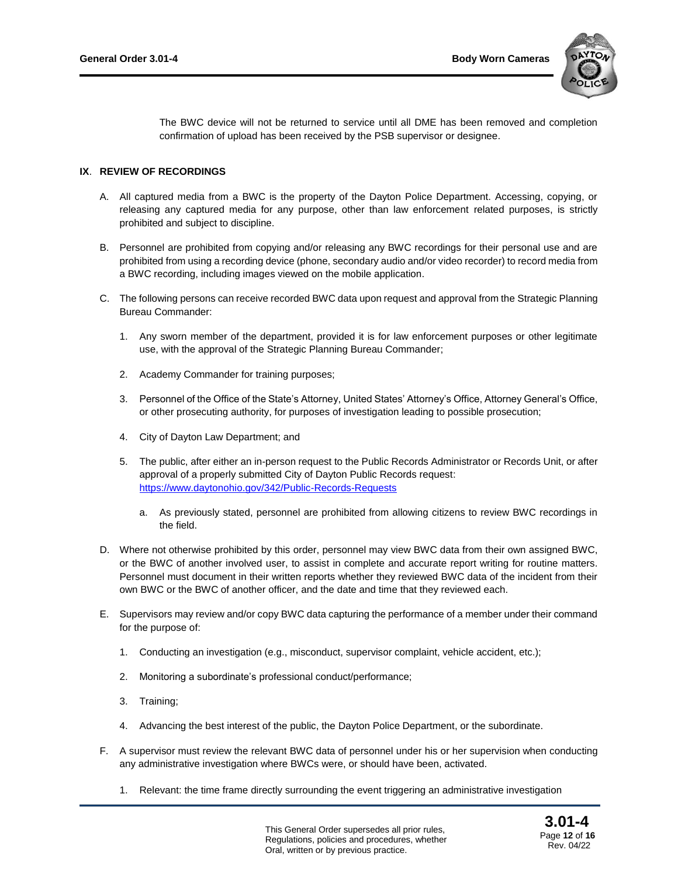

The BWC device will not be returned to service until all DME has been removed and completion confirmation of upload has been received by the PSB supervisor or designee.

# **IX**. **REVIEW OF RECORDINGS**

- A. All captured media from a BWC is the property of the Dayton Police Department. Accessing, copying, or releasing any captured media for any purpose, other than law enforcement related purposes, is strictly prohibited and subject to discipline.
- B. Personnel are prohibited from copying and/or releasing any BWC recordings for their personal use and are prohibited from using a recording device (phone, secondary audio and/or video recorder) to record media from a BWC recording, including images viewed on the mobile application.
- C. The following persons can receive recorded BWC data upon request and approval from the Strategic Planning Bureau Commander:
	- 1. Any sworn member of the department, provided it is for law enforcement purposes or other legitimate use, with the approval of the Strategic Planning Bureau Commander;
	- 2. Academy Commander for training purposes;
	- 3. Personnel of the Office of the State's Attorney, United States' Attorney's Office, Attorney General's Office, or other prosecuting authority, for purposes of investigation leading to possible prosecution;
	- 4. City of Dayton Law Department; and
	- 5. The public, after either an in-person request to the Public Records Administrator or Records Unit, or after approval of a properly submitted City of Dayton Public Records request: <https://www.daytonohio.gov/342/Public-Records-Requests>
		- a. As previously stated, personnel are prohibited from allowing citizens to review BWC recordings in the field.
- D. Where not otherwise prohibited by this order, personnel may view BWC data from their own assigned BWC, or the BWC of another involved user, to assist in complete and accurate report writing for routine matters. Personnel must document in their written reports whether they reviewed BWC data of the incident from their own BWC or the BWC of another officer, and the date and time that they reviewed each.
- E. Supervisors may review and/or copy BWC data capturing the performance of a member under their command for the purpose of:
	- 1. Conducting an investigation (e.g., misconduct, supervisor complaint, vehicle accident, etc.);
	- 2. Monitoring a subordinate's professional conduct/performance;
	- 3. Training;
	- 4. Advancing the best interest of the public, the Dayton Police Department, or the subordinate.
- F. A supervisor must review the relevant BWC data of personnel under his or her supervision when conducting any administrative investigation where BWCs were, or should have been, activated.
	- 1. Relevant: the time frame directly surrounding the event triggering an administrative investigation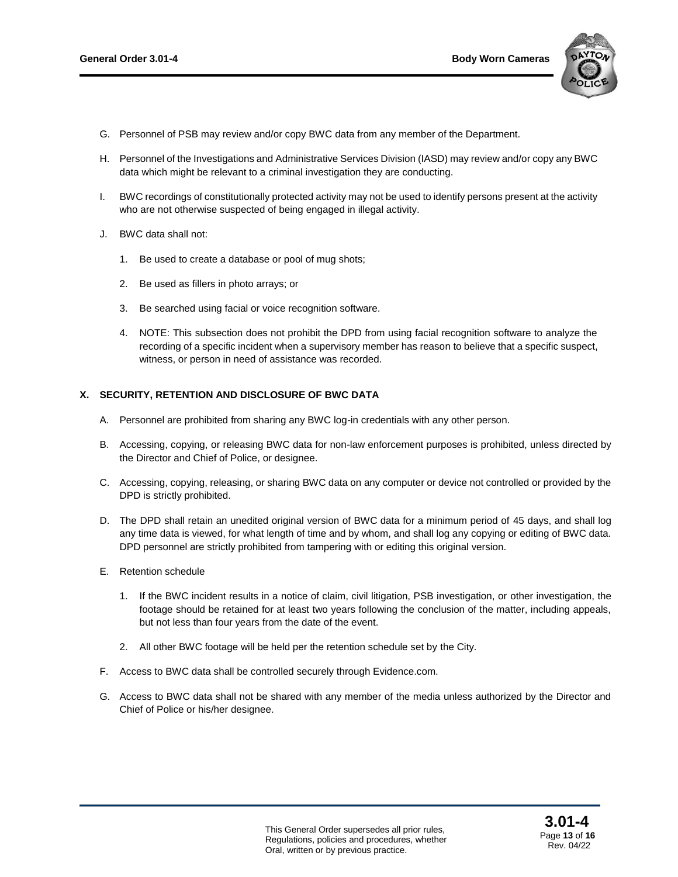

- G. Personnel of PSB may review and/or copy BWC data from any member of the Department.
- H. Personnel of the Investigations and Administrative Services Division (IASD) may review and/or copy any BWC data which might be relevant to a criminal investigation they are conducting.
- I. BWC recordings of constitutionally protected activity may not be used to identify persons present at the activity who are not otherwise suspected of being engaged in illegal activity.
- J. BWC data shall not:
	- 1. Be used to create a database or pool of mug shots;
	- 2. Be used as fillers in photo arrays; or
	- 3. Be searched using facial or voice recognition software.
	- 4. NOTE: This subsection does not prohibit the DPD from using facial recognition software to analyze the recording of a specific incident when a supervisory member has reason to believe that a specific suspect, witness, or person in need of assistance was recorded.

#### **X. SECURITY, RETENTION AND DISCLOSURE OF BWC DATA**

- A. Personnel are prohibited from sharing any BWC log-in credentials with any other person.
- B. Accessing, copying, or releasing BWC data for non-law enforcement purposes is prohibited, unless directed by the Director and Chief of Police, or designee.
- C. Accessing, copying, releasing, or sharing BWC data on any computer or device not controlled or provided by the DPD is strictly prohibited.
- D. The DPD shall retain an unedited original version of BWC data for a minimum period of 45 days, and shall log any time data is viewed, for what length of time and by whom, and shall log any copying or editing of BWC data. DPD personnel are strictly prohibited from tampering with or editing this original version.
- E. Retention schedule
	- 1. If the BWC incident results in a notice of claim, civil litigation, PSB investigation, or other investigation, the footage should be retained for at least two years following the conclusion of the matter, including appeals, but not less than four years from the date of the event.
	- 2. All other BWC footage will be held per the retention schedule set by the City.
- F. Access to BWC data shall be controlled securely through Evidence.com.
- G. Access to BWC data shall not be shared with any member of the media unless authorized by the Director and Chief of Police or his/her designee.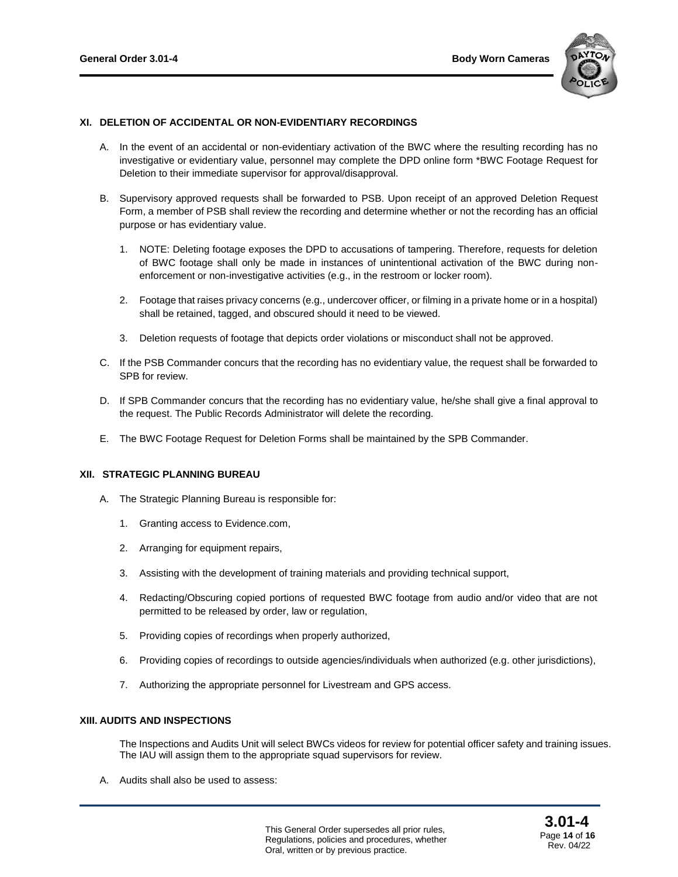

## **XI. DELETION OF ACCIDENTAL OR NON-EVIDENTIARY RECORDINGS**

- A. In the event of an accidental or non-evidentiary activation of the BWC where the resulting recording has no investigative or evidentiary value, personnel may complete the DPD online form \*BWC Footage Request for Deletion to their immediate supervisor for approval/disapproval.
- B. Supervisory approved requests shall be forwarded to PSB. Upon receipt of an approved Deletion Request Form, a member of PSB shall review the recording and determine whether or not the recording has an official purpose or has evidentiary value.
	- 1. NOTE: Deleting footage exposes the DPD to accusations of tampering. Therefore, requests for deletion of BWC footage shall only be made in instances of unintentional activation of the BWC during nonenforcement or non-investigative activities (e.g., in the restroom or locker room).
	- 2. Footage that raises privacy concerns (e.g., undercover officer, or filming in a private home or in a hospital) shall be retained, tagged, and obscured should it need to be viewed.
	- 3. Deletion requests of footage that depicts order violations or misconduct shall not be approved.
- C. If the PSB Commander concurs that the recording has no evidentiary value, the request shall be forwarded to SPB for review.
- D. If SPB Commander concurs that the recording has no evidentiary value, he/she shall give a final approval to the request. The Public Records Administrator will delete the recording.
- E. The BWC Footage Request for Deletion Forms shall be maintained by the SPB Commander.

#### **XII. STRATEGIC PLANNING BUREAU**

- A. The Strategic Planning Bureau is responsible for:
	- 1. Granting access to Evidence.com,
	- 2. Arranging for equipment repairs,
	- 3. Assisting with the development of training materials and providing technical support,
	- 4. Redacting/Obscuring copied portions of requested BWC footage from audio and/or video that are not permitted to be released by order, law or regulation,
	- 5. Providing copies of recordings when properly authorized,
	- 6. Providing copies of recordings to outside agencies/individuals when authorized (e.g. other jurisdictions),
	- 7. Authorizing the appropriate personnel for Livestream and GPS access.

## **XIII. AUDITS AND INSPECTIONS**

The Inspections and Audits Unit will select BWCs videos for review for potential officer safety and training issues. The IAU will assign them to the appropriate squad supervisors for review.

A. Audits shall also be used to assess: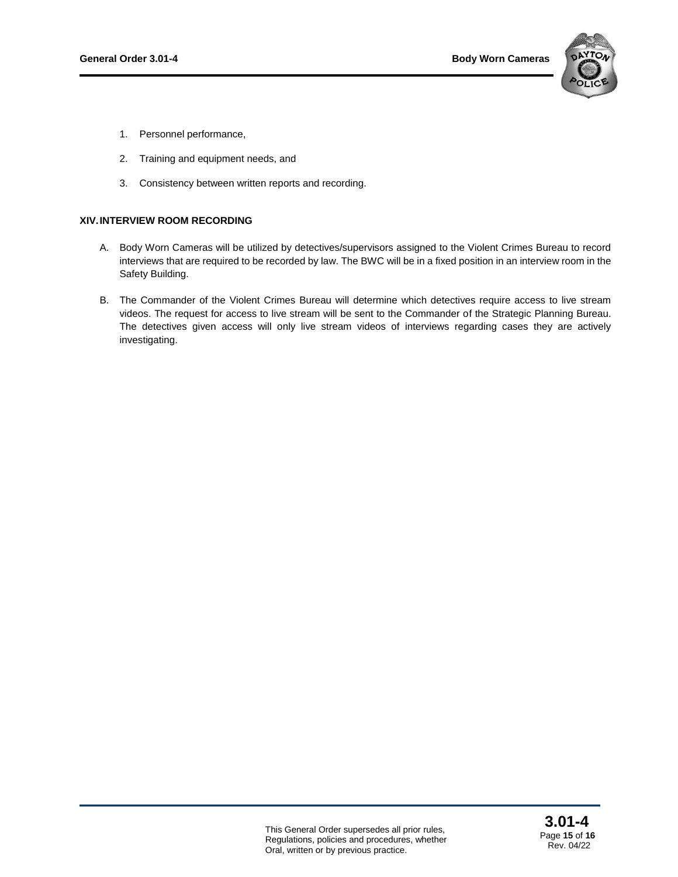

- 1. Personnel performance,
- 2. Training and equipment needs, and
- 3. Consistency between written reports and recording.

## **XIV.INTERVIEW ROOM RECORDING**

- A. Body Worn Cameras will be utilized by detectives/supervisors assigned to the Violent Crimes Bureau to record interviews that are required to be recorded by law. The BWC will be in a fixed position in an interview room in the Safety Building.
- B. The Commander of the Violent Crimes Bureau will determine which detectives require access to live stream videos. The request for access to live stream will be sent to the Commander of the Strategic Planning Bureau. The detectives given access will only live stream videos of interviews regarding cases they are actively investigating.